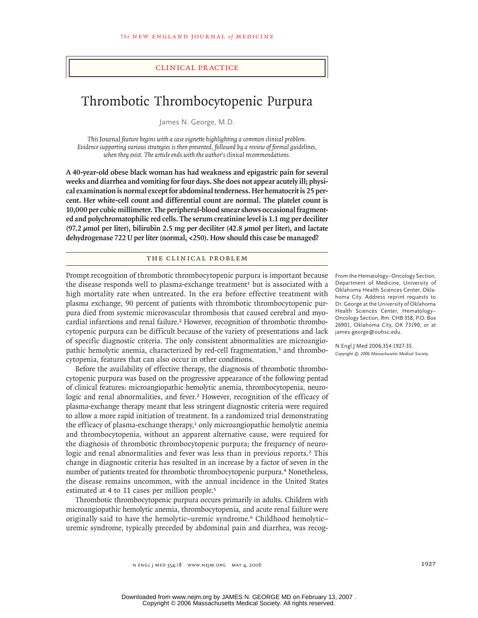## clinical practice

# Thrombotic Thrombocytopenic Purpura

James N. George, M.D.

*This* Journal *feature begins with a case vignette highlighting a common clinical problem. Evidence supporting various strategies is then presented, followed by a review of formal guidelines, when they exist. The article ends with the author's clinical recommendations.* 

**A 40-year-old obese black woman has had weakness and epigastric pain for several weeks and diarrhea and vomiting for four days. She does not appear acutely ill; physical examination is normal except for abdominal tenderness. Her hematocrit is 25 percent. Her white-cell count and differential count are normal. The platelet count is 10,000 per cubic millimeter. The peripheral-blood smear shows occasional fragmented and polychromatophilic red cells. The serum creatinine level is 1.1 mg per deciliter (97.2 μmol per liter), bilirubin 2.5 mg per deciliter (42.8 μmol per liter), and lactate dehydrogenase 722 U per liter (normal, <250). How should this case be managed?**

## The Clinical Problem

Prompt recognition of thrombotic thrombocytopenic purpura is important because the disease responds well to plasma-exchange treatment<sup>1</sup> but is associated with a high mortality rate when untreated. In the era before effective treatment with plasma exchange, 90 percent of patients with thrombotic thrombocytopenic purpura died from systemic microvascular thrombosis that caused cerebral and myocardial infarctions and renal failure.<sup>2</sup> However, recognition of thrombotic thrombocytopenic purpura can be difficult because of the variety of presentations and lack of specific diagnostic criteria. The only consistent abnormalities are microangiopathic hemolytic anemia, characterized by red-cell fragmentation,<sup>3</sup> and thrombocytopenia, features that can also occur in other conditions.

Before the availability of effective therapy, the diagnosis of thrombotic thrombocytopenic purpura was based on the progressive appearance of the following pentad of clinical features: microangiopathic hemolytic anemia, thrombocytopenia, neurologic and renal abnormalities, and fever.<sup>2</sup> However, recognition of the efficacy of plasma-exchange therapy meant that less stringent diagnostic criteria were required to allow a more rapid initiation of treatment. In a randomized trial demonstrating the efficacy of plasma-exchange therapy,<sup>1</sup> only microangiopathic hemolytic anemia and thrombocytopenia, without an apparent alternative cause, were required for the diagnosis of thrombotic thrombocytopenic purpura; the frequency of neurologic and renal abnormalities and fever was less than in previous reports.<sup>2</sup> This change in diagnostic criteria has resulted in an increase by a factor of seven in the number of patients treated for thrombotic thrombocytopenic purpura.<sup>4</sup> Nonetheless, the disease remains uncommon, with the annual incidence in the United States estimated at 4 to 11 cases per million people.<sup>5</sup>

Thrombotic thrombocytopenic purpura occurs primarily in adults. Children with microangiopathic hemolytic anemia, thrombocytopenia, and acute renal failure were originally said to have the hemolytic–uremic syndrome.<sup>6</sup> Childhood hemolytic– uremic syndrome, typically preceded by abdominal pain and diarrhea, was recog-

From the Hematology–Oncology Section, Department of Medicine, University of Oklahoma Health Sciences Center, Oklahoma City. Address reprint requests to Dr. George at the University of Oklahoma Health Sciences Center, Hematology– Oncology Section, Rm. CHB 358, P.O. Box 26901, Oklahoma City, OK 73190, or at james-george@ouhsc.edu.

N Engl J Med 2006;354:1927-35. *Copyright © 2006 Massachusetts Medical Society.*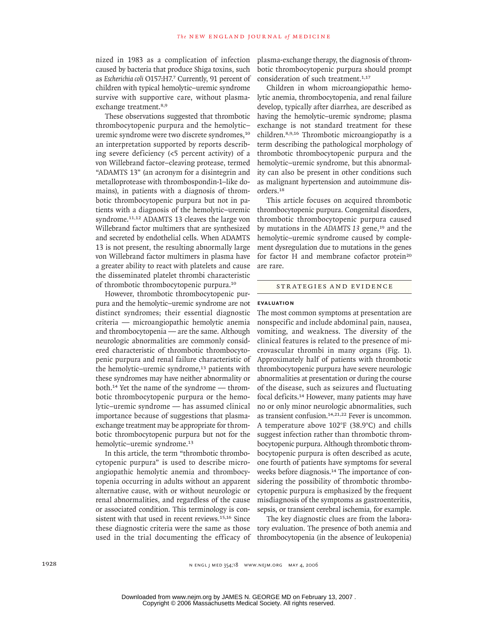nized in 1983 as a complication of infection caused by bacteria that produce Shiga toxins, such as *Escherichia coli* O157:H7.<sup>7</sup> Currently, 91 percent of children with typical hemolytic–uremic syndrome survive with supportive care, without plasmaexchange treatment.<sup>8,9</sup>

These observations suggested that thrombotic thrombocytopenic purpura and the hemolytic– uremic syndrome were two discrete syndromes,<sup>10</sup> an interpretation supported by reports describing severe deficiency (<5 percent activity) of a von Willebrand factor–cleaving protease, termed "ADAMTS 13" (an acronym for a disintegrin and metalloprotease with thrombospondin-1–like domains), in patients with a diagnosis of thrombotic thrombocytopenic purpura but not in patients with a diagnosis of the hemolytic–uremic syndrome.<sup>11,12</sup> ADAMTS 13 cleaves the large von Willebrand factor multimers that are synthesized and secreted by endothelial cells. When ADAMTS 13 is not present, the resulting abnormally large von Willebrand factor multimers in plasma have a greater ability to react with platelets and cause the disseminated platelet thrombi characteristic of thrombotic thrombocytopenic purpura.<sup>10</sup>

However, thrombotic thrombocytopenic purpura and the hemolytic–uremic syndrome are not distinct syndromes; their essential diagnostic criteria — microangiopathic hemolytic anemia and thrombocytopenia — are the same. Although neurologic abnormalities are commonly considered characteristic of thrombotic thrombocytopenic purpura and renal failure characteristic of the hemolytic–uremic syndrome,<sup>13</sup> patients with these syndromes may have neither abnormality or both.<sup>14</sup> Yet the name of the syndrome — thrombotic thrombocytopenic purpura or the hemolytic–uremic syndrome — has assumed clinical importance because of suggestions that plasmaexchange treatment may be appropriate for thrombotic thrombocytopenic purpura but not for the hemolytic-uremic syndrome.<sup>13</sup>

In this article, the term "thrombotic thrombocytopenic purpura" is used to describe microangiopathic hemolytic anemia and thrombocytopenia occurring in adults without an apparent alternative cause, with or without neurologic or renal abnormalities, and regardless of the cause or associated condition. This terminology is consistent with that used in recent reviews.<sup>15,16</sup> Since these diagnostic criteria were the same as those used in the trial documenting the efficacy of

plasma-exchange therapy, the diagnosis of thrombotic thrombocytopenic purpura should prompt consideration of such treatment.<sup>1,17</sup>

Children in whom microangiopathic hemolytic anemia, thrombocytopenia, and renal failure develop, typically after diarrhea, are described as having the hemolytic–uremic syndrome; plasma exchange is not standard treatment for these children.8,9,16 Thrombotic microangiopathy is a term describing the pathological morphology of thrombotic thrombocytopenic purpura and the hemolytic–uremic syndrome, but this abnormality can also be present in other conditions such as malignant hypertension and autoimmune disorders.<sup>18</sup>

This article focuses on acquired thrombotic thrombocytopenic purpura. Congenital disorders, thrombotic thrombocytopenic purpura caused by mutations in the *ADAMTS* 13 gene,<sup>19</sup> and the hemolytic–uremic syndrome caused by complement dysregulation due to mutations in the genes for factor H and membrane cofactor protein<sup>20</sup> are rare.

## Strategies and Evidence

## **Evaluation**

The most common symptoms at presentation are nonspecific and include abdominal pain, nausea, vomiting, and weakness. The diversity of the clinical features is related to the presence of microvascular thrombi in many organs (Fig. 1). Approximately half of patients with thrombotic thrombocytopenic purpura have severe neurologic abnormalities at presentation or during the course of the disease, such as seizures and fluctuating focal deficits.<sup>14</sup> However, many patients may have no or only minor neurologic abnormalities, such as transient confusion.14,21,22 Fever is uncommon. A temperature above 102°F (38.9°C) and chills suggest infection rather than thrombotic thrombocytopenic purpura. Although thrombotic thrombocytopenic purpura is often described as acute, one fourth of patients have symptoms for several weeks before diagnosis.<sup>14</sup> The importance of considering the possibility of thrombotic thrombocytopenic purpura is emphasized by the frequent misdiagnosis of the symptoms as gastroenteritis, sepsis, or transient cerebral ischemia, for example.

The key diagnostic clues are from the laboratory evaluation. The presence of both anemia and thrombocytopenia (in the absence of leukopenia)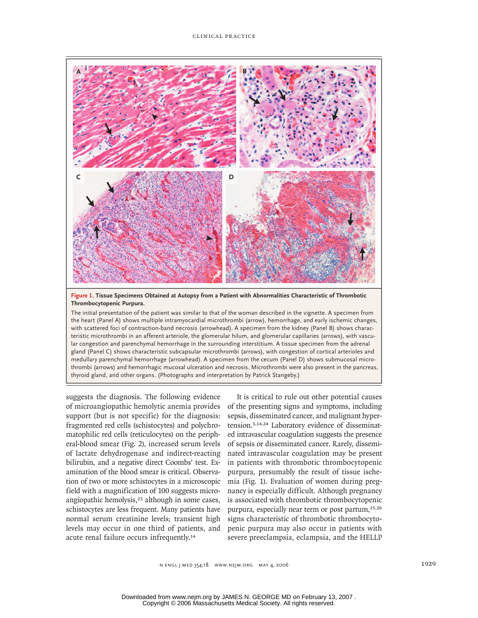

**Figure 1. Tissue Specimens Obtained at Autopsy from a Patient with Abnormalities Characteristic of Thrombotic Thrombocytopenic Purpura.**

The initial presentation of the patient was similar to that of the woman described in the vignette. A specimen from the heart (Panel A) shows multiple intramyocardial microthrombi (arrow), hemorrhage, and early ischemic changes, with scattered foci of contraction-band necrosis (arrowhead). A specimen from the kidney (Panel B) shows characteristic microthrombi in an afferent arteriole, the glomerular hilum, and glomerular capillaries (arrows), with vascular congestion and parenchymal hemorrhage in the surrounding interstitium. A tissue specimen from the adrenal gland (Panel C) shows characteristic subcapsular microthrombi (arrows), with congestion of cortical arterioles and medullary parenchymal hemorrhage (arrowhead). A specimen from the cecum (Panel D) shows submucosal microthrombi (arrows) and hemorrhagic mucosal ulceration and necrosis. Microthrombi were also present in the pancreas, thyroid gland, and other organs. (Photographs and interpretation by Patrick Stangeby.)

suggests the diagnosis. The following evidence of microangiopathic hemolytic anemia provides support (but is not specific) for the diagnosis: fragmented red cells (schistocytes) and polychromatophilic red cells (reticulocytes) on the peripheral-blood smear (Fig. 2), increased serum levels of lactate dehydrogenase and indirect-reacting bilirubin, and a negative direct Coombs' test. Examination of the blood smear is critical. Observation of two or more schistocytes in a microscopic field with a magnification of 100 suggests microangiopathic hemolysis,<sup>23</sup> although in some cases, schistocytes are less frequent. Many patients have normal serum creatinine levels; transient high levels may occur in one third of patients, and acute renal failure occurs infrequently.<sup>14</sup>

It is critical to rule out other potential causes of the presenting signs and symptoms, including sepsis, disseminated cancer, and malignant hypertension.3,14,24 Laboratory evidence of disseminated intravascular coagulation suggests the presence of sepsis or disseminated cancer. Rarely, disseminated intravascular coagulation may be present in patients with thrombotic thrombocytopenic purpura, presumably the result of tissue ischemia (Fig. 1). Evaluation of women during pregnancy is especially difficult. Although pregnancy is associated with thrombotic thrombocytopenic purpura, especially near term or post partum,<sup>25,26</sup> signs characteristic of thrombotic thrombocytopenic purpura may also occur in patients with severe preeclampsia, eclampsia, and the HELLP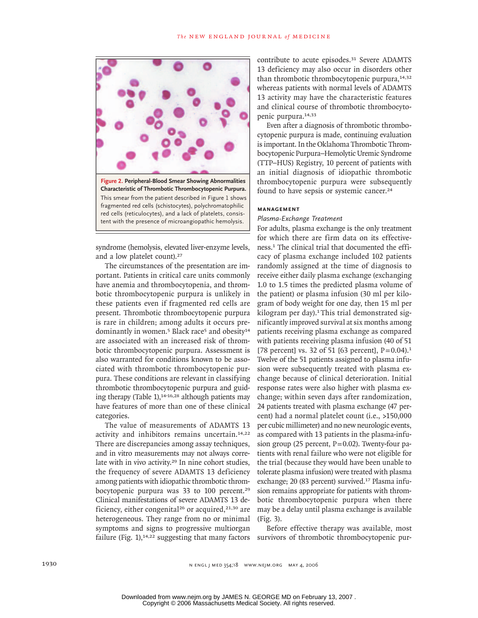

syndrome (hemolysis, elevated liver-enzyme levels, and a low platelet count).<sup>27</sup>

The circumstances of the presentation are important. Patients in critical care units commonly have anemia and thrombocytopenia, and thrombotic thrombocytopenic purpura is unlikely in these patients even if fragmented red cells are present. Thrombotic thrombocytopenic purpura is rare in children; among adults it occurs predominantly in women.<sup>5</sup> Black race<sup>5</sup> and obesity<sup>14</sup> are associated with an increased risk of thrombotic thrombocytopenic purpura. Assessment is also warranted for conditions known to be associated with thrombotic thrombocytopenic purpura. These conditions are relevant in classifying thrombotic thrombocytopenic purpura and guiding therapy (Table 1), $14-16,28$  although patients may have features of more than one of these clinical categories.

The value of measurements of ADAMTS 13 activity and inhibitors remains uncertain.14,22 There are discrepancies among assay techniques, and in vitro measurements may not always correlate with in vivo activity.<sup>29</sup> In nine cohort studies, the frequency of severe ADAMTS 13 deficiency among patients with idiopathic thrombotic thrombocytopenic purpura was 33 to 100 percent.<sup>29</sup> Clinical manifestations of severe ADAMTS 13 deficiency, either congenital<sup>26</sup> or acquired,<sup>21,30</sup> are heterogeneous. They range from no or minimal symptoms and signs to progressive multiorgan failure (Fig. 1),<sup>14,22</sup> suggesting that many factors survivors of thrombotic thrombocytopenic pur-

contribute to acute episodes.<sup>31</sup> Severe ADAMTS 13 deficiency may also occur in disorders other than thrombotic thrombocytopenic purpura,<sup>14,32</sup> whereas patients with normal levels of ADAMTS 13 activity may have the characteristic features and clinical course of thrombotic thrombocytopenic purpura.<sup>14,33</sup>

Even after a diagnosis of thrombotic thrombocytopenic purpura is made, continuing evaluation is important. In the Oklahoma Thrombotic Thrombocytopenic Purpura–Hemolytic Uremic Syndrome (TTP–HUS) Registry, 10 percent of patients with an initial diagnosis of idiopathic thrombotic thrombocytopenic purpura were subsequently found to have sepsis or systemic cancer.<sup>24</sup>

### **Management**

## *Plasma-Exchange Treatment*

For adults, plasma exchange is the only treatment for which there are firm data on its effectiveness.<sup>1</sup> The clinical trial that documented the efficacy of plasma exchange included 102 patients randomly assigned at the time of diagnosis to receive either daily plasma exchange (exchanging 1.0 to 1.5 times the predicted plasma volume of the patient) or plasma infusion (30 ml per kilogram of body weight for one day, then 15 ml per kilogram per day).<sup>1</sup>This trial demonstrated significantly improved survival at six months among patients receiving plasma exchange as compared with patients receiving plasma infusion (40 of 51 [78 percent] vs. 32 of 51 [63 percent],  $P = 0.04$ ).<sup>1</sup> Twelve of the 51 patients assigned to plasma infusion were subsequently treated with plasma exchange because of clinical deterioration. Initial response rates were also higher with plasma exchange; within seven days after randomization, 24 patients treated with plasma exchange (47 percent) had a normal platelet count (i.e., >150,000 per cubic millimeter) and no new neurologic events, as compared with 13 patients in the plasma-infusion group (25 percent,  $P = 0.02$ ). Twenty-four patients with renal failure who were not eligible for the trial (because they would have been unable to tolerate plasma infusion) were treated with plasma exchange; 20 (83 percent) survived.<sup>17</sup> Plasma infusion remains appropriate for patients with thrombotic thrombocytopenic purpura when there may be a delay until plasma exchange is available (Fig. 3).

Before effective therapy was available, most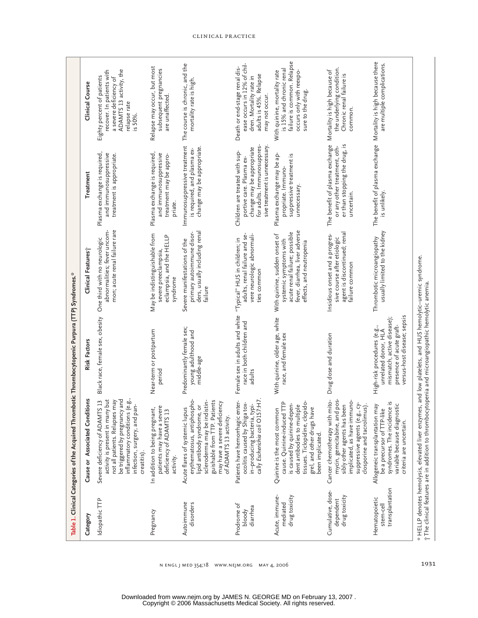|                                                 | Table 1. Clinical Categories of the Acquired Thromb                                                                                                                                                                    | botic Thrombocytopenic Purpura (TTP) Syndromes.*                                                                                             |                                                                                                                                                        |                                                                                                                                                         |                                                                                                                                         |
|-------------------------------------------------|------------------------------------------------------------------------------------------------------------------------------------------------------------------------------------------------------------------------|----------------------------------------------------------------------------------------------------------------------------------------------|--------------------------------------------------------------------------------------------------------------------------------------------------------|---------------------------------------------------------------------------------------------------------------------------------------------------------|-----------------------------------------------------------------------------------------------------------------------------------------|
| Category                                        | Cause or Associated Conditions                                                                                                                                                                                         | Risk Factors                                                                                                                                 | Clinical Features;                                                                                                                                     | Treatment                                                                                                                                               | Clinical Course                                                                                                                         |
| Idiopathic TTP                                  | inflammatory conditions (e.g.,<br>activity is present in many but<br>be triggered by pregnancy and<br>Severe deficiency of ADAMTS 13<br>not all patients. Relapses may<br>infection, surgery, and pan-<br>creatitis).  | Black race, female sex, obesity                                                                                                              | mon; acute renal failure rare<br>abnormalities; fever uncom-<br>One third with no neurologic                                                           | Plasma exchange is required,<br>and immunosuppressive<br>treatment is appropriate.                                                                      | ADAMTS 13 activity, the<br>recover. In patients with<br>Eighty percent of patients<br>a severe deficiency of<br>relapse rate<br>is 50%. |
| Pregnancy                                       | In addition to being pregnant,<br>patients may have a severe<br>deficiency of ADAMTS 13<br>activity.                                                                                                                   | Near-term or postpartum<br>period                                                                                                            | May be indistinguishable from<br>eclampsia, and the HELLP<br>severe preeclampsia,<br>syndrome                                                          | Plasma exchange is required,<br>and immunosuppressive<br>treatment may be appro-<br>priate.                                                             | Relapse may occur, but most<br>subsequent pregnancies<br>are unaffected.                                                                |
| Autoimmune<br>disorders                         | erythematosus, antiphospho-<br>scleroderma may be indistin-<br>guishable from TTP. Patients<br>may have a severe deficiency<br>lipid antibody syndrome, or<br>Acute flares of systemic lupus<br>of ADAMTS 13 activity. | Predominantly female sex;<br>young adulthood and<br>middle-age                                                                               | ders, usually including renal<br>primary autoimmune disor-<br>Severe manifestations of the<br>failure                                                  | Immunosuppressive treatment<br>change may be appropriate.<br>is required, and plasma ex-                                                                | The course is chronic, and the<br>mortality rate is high.                                                                               |
| Prodrome of<br>diarrhea<br>bloody               | in–producing bacteria, typi-<br>cally <i>Escherichia coli</i> O157:H7.<br>Patients have hemorrhagic enter-<br>ocolitis caused by Shiga tox-                                                                            | Female sex in adults and white<br>race in both children and<br>adults                                                                        | adults, renal failure and se-<br>vere neurologic abnormali-<br>"Typical" HUS in children; in<br>ties common                                            | for adults. Immunosuppres-<br>sive treatment is unnecessary.<br>change may be appropriate<br>Children are treated with sup-<br>portive care. Plasma ex- | ease occurs in 12% of chil-<br>Death or end-stage renal dis-<br>adults is 45%. Relapse<br>dren. Mortality rate in<br>may not occur.     |
| Acute, immune-<br>drug toxicity<br>mediated     | tissues. Ticlopidine, clopido-<br>cause. Quinine-induced TTP<br>is caused by quinine-depen-<br>dent antibodies to multiple<br>Quinine is the most common<br>grel, and other drugs have<br>been implicated.             | With quinine, older age, white<br>race, and female sex                                                                                       | fever, diarrhea, liver adverse<br>acute renal failure; possible<br>With quinine, sudden onset of<br>systemic symptoms with<br>effects, and neutropenia | Plasma exchange may be ap-<br>suppressive treatment is<br>propriate. Immuno-<br>unnecessary.                                                            | failure is common. Relapse<br>is 15% and chronic renal<br>occurs only with reexpo-<br>With quinine, mortality rate<br>sure to the drug. |
| Cumulative, dose-<br>drug toxicity<br>dependent | Cancer chemotherapy with mito-<br>mycin, gemcitabine, and pos-<br>implicated, as have immuno-<br>suppressive agents (e.g., cy-<br>sibly other agents has been<br>closporine and tacrolimus)                            | Drug dose and duration                                                                                                                       | agent is discontinued; renal<br>Insidious onset and a progres-<br>sive course after etiologic<br>failure common                                        | The benefit of plasma exchange<br>er than stopping the drug, is<br>or any other treatment, oth-<br>uncertain.                                           | the underlying condition.<br>Mortality is high because of<br>Chronic renal failure is<br>common.                                        |
| transplantation<br>Hematopoietic<br>stem-cel    | syndromes. The incidence is<br>variable because diagnostic<br>Allogeneic transplantation may<br>be a precursor of TTP-like<br>criteria are uncertain.                                                                  | versus-host disease; sepsis<br>mismatch, active disease);<br>presence of acute graft-<br>High-risk procedures (e.g.,<br>unrelated donor, HLA | usually limited to the kidney<br>Thrombotic microangiopathy                                                                                            | The benefit of plasma exchange Mortality is high because there<br>is unlikely.                                                                          | are multiple complications.                                                                                                             |
|                                                 | $^{\ast}$ HELLP denotes hemolysis, elevated liver enzymes, and low platelets, and HUS hemolytic–uremic syndrome.<br>† The clinical features are in addition to thrombocytopenia and microangiopathic hemolytic anemia. |                                                                                                                                              |                                                                                                                                                        |                                                                                                                                                         |                                                                                                                                         |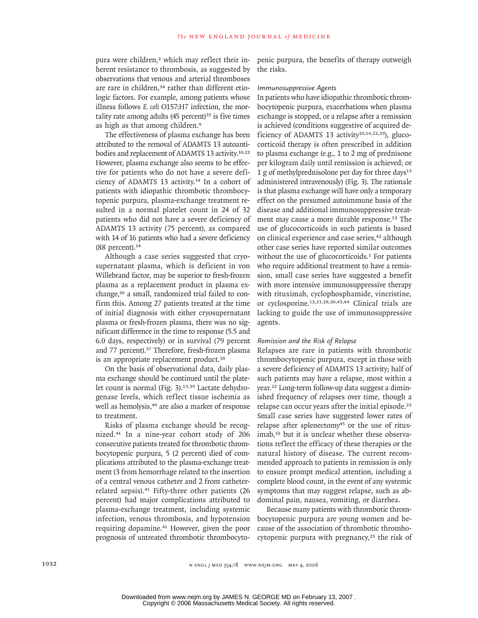pura were children,<sup>2</sup> which may reflect their inherent resistance to thrombosis, as suggested by observations that venous and arterial thromboses are rare in children.<sup>34</sup> rather than different etiologic factors. For example, among patients whose illness follows *E. coli* O157:H7 infection, the mortality rate among adults  $(45$  percent)<sup>35</sup> is five times as high as that among children.<sup>9</sup>

The effectiveness of plasma exchange has been attributed to the removal of ADAMTS 13 autoantibodies and replacement of ADAMTS 13 activity.<sup>10,22</sup> However, plasma exchange also seems to be effective for patients who do not have a severe deficiency of ADAMTS 13 activity.<sup>14</sup> In a cohort of patients with idiopathic thrombotic thrombocytopenic purpura, plasma-exchange treatment resulted in a normal platelet count in 24 of 32 patients who did not have a severe deficiency of ADAMTS 13 activity (75 percent), as compared with 14 of 16 patients who had a severe deficiency  $(88$  percent).<sup>14</sup>

Although a case series suggested that cryosupernatant plasma, which is deficient in von Willebrand factor, may be superior to fresh-frozen plasma as a replacement product in plasma exchange,<sup>36</sup> a small, randomized trial failed to confirm this. Among 27 patients treated at the time of initial diagnosis with either cryosupernatant plasma or fresh-frozen plasma, there was no significant difference in the time to response (5.5 and 6.0 days, respectively) or in survival (79 percent and 77 percent).<sup>37</sup> Therefore, fresh-frozen plasma is an appropriate replacement product.<sup>38</sup>

On the basis of observational data, daily plasma exchange should be continued until the platelet count is normal (Fig. 3).<sup>13,39</sup> Lactate dehydrogenase levels, which reflect tissue ischemia as well as hemolysis,<sup>40</sup> are also a marker of response to treatment.

Risks of plasma exchange should be recognized.<sup>41</sup> In a nine-year cohort study of 206 consecutive patients treated for thrombotic thrombocytopenic purpura, 5 (2 percent) died of complications attributed to the plasma-exchange treatment (3 from hemorrhage related to the insertion of a central venous catheter and 2 from catheterrelated sepsis).<sup>41</sup> Fifty-three other patients (26 percent) had major complications attributed to plasma-exchange treatment, including systemic infection, venous thrombosis, and hypotension requiring dopamine.<sup>41</sup> However, given the poor prognosis of untreated thrombotic thrombocytopenic purpura, the benefits of therapy outweigh the risks.

#### *Immunosuppressive Agents*

In patients who have idiopathic thrombotic thrombocytopenic purpura, exacerbations when plasma exchange is stopped, or a relapse after a remission is achieved (conditions suggestive of acquired deficiency of ADAMTS 13 activity<sup>10,14,22,29</sup>), glucocorticoid therapy is often prescribed in addition to plasma exchange (e.g., 1 to 2 mg of prednisone per kilogram daily until remission is achieved; or 1 g of methylprednisolone per day for three days<sup>13</sup> administered intravenously) (Fig. 3). The rationale is that plasma exchange will have only a temporary effect on the presumed autoimmune basis of the disease and additional immunosuppressive treatment may cause a more durable response.<sup>13</sup> The use of glucocorticoids in such patients is based on clinical experience and case series,<sup>42</sup> although other case series have reported similar outcomes without the use of glucocorticoids.<sup>1</sup> For patients who require additional treatment to have a remission, small case series have suggested a benefit with more intensive immunosuppressive therapy with rituximab, cyclophosphamide, vincristine, or cyclosporine.13,21,28,30,43,44 Clinical trials are lacking to guide the use of immunosuppressive agents.

#### *Remission and the Risk of Relapse*

Relapses are rare in patients with thrombotic thrombocytopenic purpura, except in those with a severe deficiency of ADAMTS 13 activity; half of such patients may have a relapse, most within a year.<sup>22</sup> Long-term follow-up data suggest a diminished frequency of relapses over time, though a relapse can occur years after the initial episode.<sup>22</sup> Small case series have suggested lower rates of relapse after splenectomy<sup>45</sup> or the use of rituximab,<sup>32</sup> but it is unclear whether these observations reflect the efficacy of these therapies or the natural history of disease. The current recommended approach to patients in remission is only to ensure prompt medical attention, including a complete blood count, in the event of any systemic symptoms that may suggest relapse, such as abdominal pain, nausea, vomiting, or diarrhea.

Because many patients with thrombotic thrombocytopenic purpura are young women and because of the association of thrombotic thrombocytopenic purpura with pregnancy,<sup>25</sup> the risk of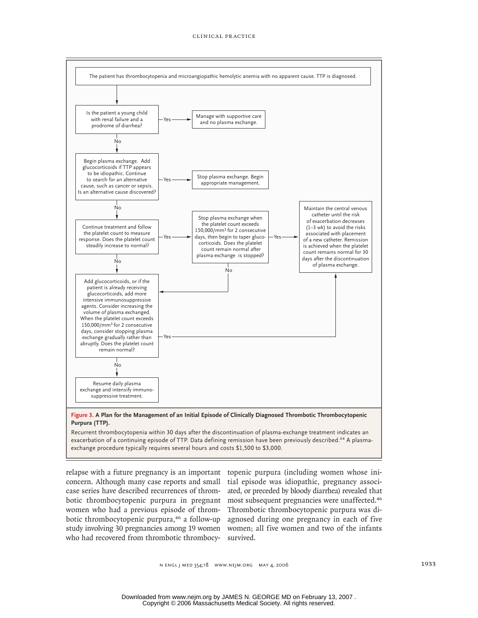

exacerbation of a continuing episode of TTP. Data defining remission have been previously described.<sup>24</sup> A plasmaexchange procedure typically requires several hours and costs \$1,500 to \$3,000.

relapse with a future pregnancy is an important topenic purpura (including women whose iniconcern. Although many case reports and small case series have described recurrences of thrombotic thrombocytopenic purpura in pregnant women who had a previous episode of thrombotic thrombocytopenic purpura,<sup>46</sup> a follow-up study involving 30 pregnancies among 19 women women; all five women and two of the infants who had recovered from thrombotic thrombocy-survived.

tial episode was idiopathic, pregnancy associated, or preceded by bloody diarrhea) revealed that most subsequent pregnancies were unaffected.<sup>46</sup> Thrombotic thrombocytopenic purpura was diagnosed during one pregnancy in each of five

n engl j med 354;18 www.nejm.org may 4, 2006 1933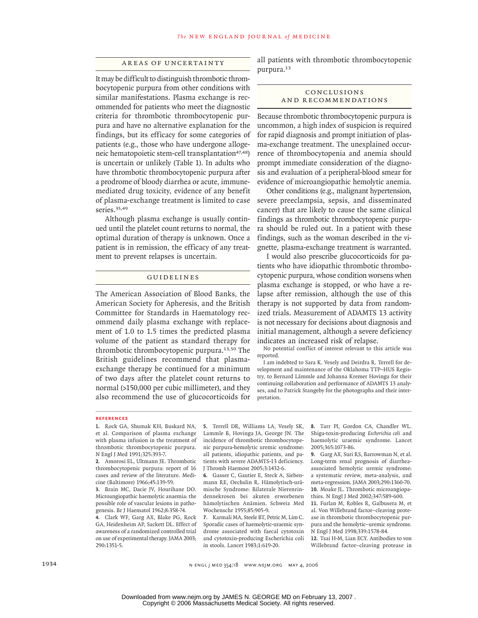## Areas of Uncertainty

It may be difficult to distinguish thrombotic thrombocytopenic purpura from other conditions with similar manifestations. Plasma exchange is recommended for patients who meet the diagnostic criteria for thrombotic thrombocytopenic purpura and have no alternative explanation for the findings, but its efficacy for some categories of patients (e.g., those who have undergone allogeneic hematopoietic stem-cell transplantation<sup>47,48</sup>) is uncertain or unlikely (Table 1). In adults who have thrombotic thrombocytopenic purpura after a prodrome of bloody diarrhea or acute, immunemediated drug toxicity, evidence of any benefit of plasma-exchange treatment is limited to case series.<sup>35,49</sup>

Although plasma exchange is usually continued until the platelet count returns to normal, the optimal duration of therapy is unknown. Once a patient is in remission, the efficacy of any treatment to prevent relapses is uncertain.

## Guidelines

The American Association of Blood Banks, the American Society for Apheresis, and the British Committee for Standards in Haematology recommend daily plasma exchange with replacement of 1.0 to 1.5 times the predicted plasma volume of the patient as standard therapy for thrombotic thrombocytopenic purpura.13,50 The British guidelines recommend that plasmaexchange therapy be continued for a minimum of two days after the platelet count returns to normal (>150,000 per cubic millimeter), and they also recommend the use of glucocorticoids for

all patients with thrombotic thrombocytopenic purpura.<sup>13</sup>

#### Conclusions and Recommendations

Because thrombotic thrombocytopenic purpura is uncommon, a high index of suspicion is required for rapid diagnosis and prompt initiation of plasma-exchange treatment. The unexplained occurrence of thrombocytopenia and anemia should prompt immediate consideration of the diagnosis and evaluation of a peripheral-blood smear for evidence of microangiopathic hemolytic anemia.

Other conditions (e.g., malignant hypertension, severe preeclampsia, sepsis, and disseminated cancer) that are likely to cause the same clinical findings as thrombotic thrombocytopenic purpura should be ruled out. In a patient with these findings, such as the woman described in the vignette, plasma-exchange treatment is warranted.

I would also prescribe glucocorticoids for patients who have idiopathic thrombotic thrombocytopenic purpura, whose condition worsens when plasma exchange is stopped, or who have a relapse after remission, although the use of this therapy is not supported by data from randomized trials. Measurement of ADAMTS 13 activity is not necessary for decisions about diagnosis and initial management, although a severe deficiency indicates an increased risk of relapse.

No potential conflict of interest relevant to this article was reported.

I am indebted to Sara K. Vesely and Deirdra R. Terrell for development and maintenance of the Oklahoma TTP–HUS Registry, to Bernard Lämmle and Johanna Kremer Hovinga for their continuing collaboration and performance of ADAMTS 13 analyses, and to Patrick Stangeby for the photographs and their interpretation.

#### **References**

1. Rock GA, Shumak KH, Buskard NA, et al. Comparison of plasma exchange with plasma infusion in the treatment of thrombotic thrombocytopenic purpura. N Engl J Med 1991;325:393-7.

Amorosi EL, Ultmann JE. Thrombotic **2.** thrombocytopenic purpura: report of 16 cases and review of the literature. Medicine (Baltimore) 1966;45:139-59.

Brain MC, Dacie JV, Hourihane DO. **3.** Microangiopathic haemolytic anaemia: the possible role of vascular lesions in pathogenesis. Br J Haematol 1962;8:358-74.

Clark WF, Garg AX, Blake PG, Rock **4.** GA, Heidenheim AP, Sackett DL. Effect of awareness of a randomized controlled trial on use of experimental therapy. JAMA 2003; 290:1351-5.

5. Terrell DR, Williams LA, Vesely SK, Lammle B, Hovinga JA, George JN. The incidence of thrombotic thrombocytopenic purpura-hemolytic uremic syndrome: all patients, idiopathic patients, and patients with severe ADAMTS-13 deficiency. J Thromb Haemost 2005;3:1432-6.

Gasser C, Gautier E, Steck A, Sieben-**6.** mann RE, Oechslin R. Hämolytisch-urämische Syndrome: Bilaterale Nierenrindennekrosen bei akuten erworbenen hämolytischen Anämien. Schweiz Med Wochenschr 1955;85:905-9.

Karmali MA, Steele BT, Petric M, Lim C. **7.** Sporadic cases of haemolytic-uraemic syndrome associated with faecal cytotoxin and cytotoxin-producing Escherichia coli in stools. Lancet 1983;1:619-20.

Tarr PI, Gordon CA, Chandler WL. **8.** Shiga-toxin-producing *Escherichia coli* and haemolytic uraemic syndrome. Lancet 2005;365:1073-86.

Garg AX, Suri RS, Barrowman N, et al. **9.** Long-term renal prognosis of diarrheaassociated hemolytic uremic syndrome: a systematic review, meta-analysis, and meta-regression. JAMA 2003;290:1360-70. 10. Moake JL. Thrombotic microangiopathies. N Engl J Med 2002;347:589-600.

Furlan M, Robles R, Galbusera M, et **11.** al. Von Willebrand factor–cleaving protease in thrombotic thrombocytopenic purpura and the hemolytic–uremic syndrome. N Engl J Med 1998;339:1578-84.

12. Tsai H-M, Lian ECY. Antibodies to von Willebrand factor–cleaving protease in